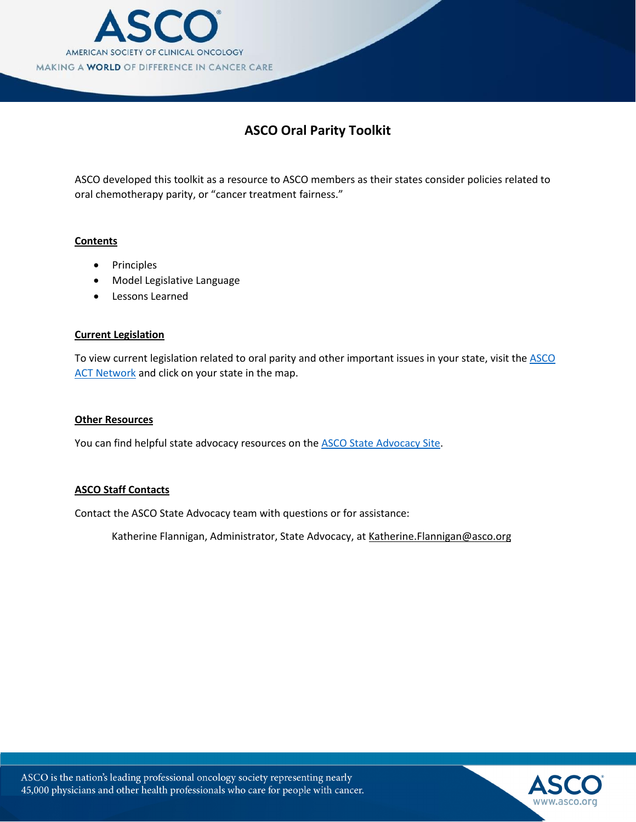

### **ASCO Oral Parity Toolkit**

ASCO developed this toolkit as a resource to ASCO members as their states consider policies related to oral chemotherapy parity, or "cancer treatment fairness."

#### **Contents**

- Principles
- Model Legislative Language
- Lessons Learned

#### **Current Legislation**

To view current legislation related to oral parity and other important issues in your state, visit the ASCO [ACT Network](http://cqrcengage.com/asco/state) and click on your state in the map.

#### **Other Resources**

You can find helpful state advocacy resources on th[e ASCO State Advocacy Site.](http://www.asco.org/advocacy-policy/advocacy-center/state-advocacy)

#### **ASCO Staff Contacts**

Contact the ASCO State Advocacy team with questions or for assistance:

Katherine Flannigan, Administrator, State [Advocacy, at Katherine.Flanni](mailto:Jennifer.Brunelle@asco.org)gan@asco.org

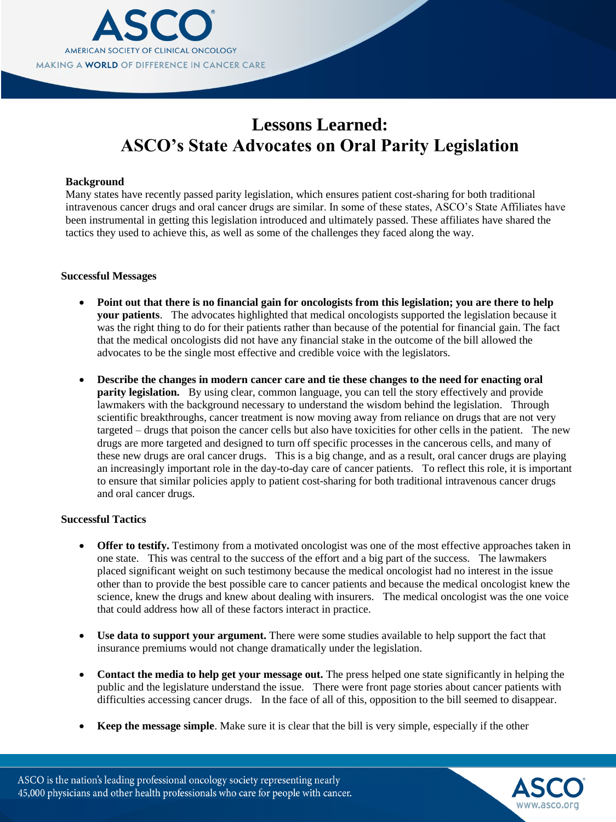

## **Lessons Learned: ASCO's State Advocates on Oral Parity Legislation**

#### **Background**

Many states have recently passed parity legislation, which ensures patient cost-sharing for both traditional intravenous cancer drugs and oral cancer drugs are similar. In some of these states, ASCO's State Affiliates have been instrumental in getting this legislation introduced and ultimately passed. These affiliates have shared the tactics they used to achieve this, as well as some of the challenges they faced along the way.

#### **Successful Messages**

- **Point out that there is no financial gain for oncologists from this legislation; you are there to help your patients**. The advocates highlighted that medical oncologists supported the legislation because it was the right thing to do for their patients rather than because of the potential for financial gain. The fact that the medical oncologists did not have any financial stake in the outcome of the bill allowed the advocates to be the single most effective and credible voice with the legislators.
- **Describe the changes in modern cancer care and tie these changes to the need for enacting oral parity legislation.** By using clear, common language, you can tell the story effectively and provide lawmakers with the background necessary to understand the wisdom behind the legislation. Through scientific breakthroughs, cancer treatment is now moving away from reliance on drugs that are not very targeted – drugs that poison the cancer cells but also have toxicities for other cells in the patient. The new drugs are more targeted and designed to turn off specific processes in the cancerous cells, and many of these new drugs are oral cancer drugs. This is a big change, and as a result, oral cancer drugs are playing an increasingly important role in the day-to-day care of cancer patients. To reflect this role, it is important to ensure that similar policies apply to patient cost-sharing for both traditional intravenous cancer drugs and oral cancer drugs.

#### **Successful Tactics**

- **Offer to testify.** Testimony from a motivated oncologist was one of the most effective approaches taken in one state. This was central to the success of the effort and a big part of the success. The lawmakers placed significant weight on such testimony because the medical oncologist had no interest in the issue other than to provide the best possible care to cancer patients and because the medical oncologist knew the science, knew the drugs and knew about dealing with insurers. The medical oncologist was the one voice that could address how all of these factors interact in practice.
- **Use data to support your argument.** There were some studies available to help support the fact that insurance premiums would not change dramatically under the legislation.
- Contact the media to help get your message out. The press helped one state significantly in helping the public and the legislature understand the issue. There were front page stories about cancer patients with difficulties accessing cancer drugs. In the face of all of this, opposition to the bill seemed to disappear.
- **Keep the message simple**. Make sure it is clear that the bill is very simple, especially if the other

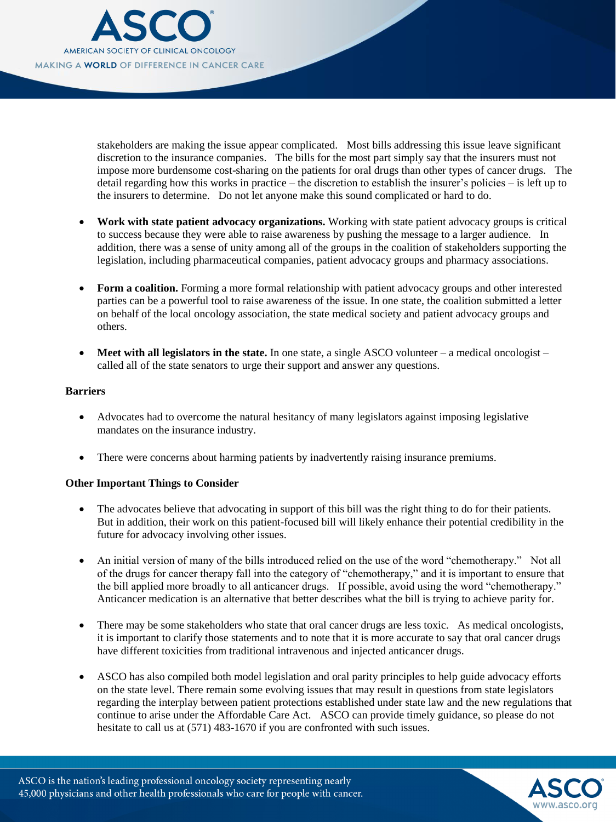

stakeholders are making the issue appear complicated. Most bills addressing this issue leave significant discretion to the insurance companies. The bills for the most part simply say that the insurers must not impose more burdensome cost-sharing on the patients for oral drugs than other types of cancer drugs. The detail regarding how this works in practice – the discretion to establish the insurer's policies – is left up to the insurers to determine. Do not let anyone make this sound complicated or hard to do.

- **Work with state patient advocacy organizations.** Working with state patient advocacy groups is critical to success because they were able to raise awareness by pushing the message to a larger audience. In addition, there was a sense of unity among all of the groups in the coalition of stakeholders supporting the legislation, including pharmaceutical companies, patient advocacy groups and pharmacy associations.
- **Form a coalition.** Forming a more formal relationship with patient advocacy groups and other interested parties can be a powerful tool to raise awareness of the issue. In one state, the coalition submitted a letter on behalf of the local oncology association, the state medical society and patient advocacy groups and others.
- **Meet with all legislators in the state.** In one state, a single ASCO volunteer a medical oncologist called all of the state senators to urge their support and answer any questions.

#### **Barriers**

- Advocates had to overcome the natural hesitancy of many legislators against imposing legislative mandates on the insurance industry.
- There were concerns about harming patients by inadvertently raising insurance premiums.

#### **Other Important Things to Consider**

- The advocates believe that advocating in support of this bill was the right thing to do for their patients. But in addition, their work on this patient-focused bill will likely enhance their potential credibility in the future for advocacy involving other issues.
- An initial version of many of the bills introduced relied on the use of the word "chemotherapy." Not all of the drugs for cancer therapy fall into the category of "chemotherapy," and it is important to ensure that the bill applied more broadly to all anticancer drugs. If possible, avoid using the word "chemotherapy." Anticancer medication is an alternative that better describes what the bill is trying to achieve parity for.
- There may be some stakeholders who state that oral cancer drugs are less toxic. As medical oncologists, it is important to clarify those statements and to note that it is more accurate to say that oral cancer drugs have different toxicities from traditional intravenous and injected anticancer drugs.
- ASCO has also compiled both model legislation and oral parity principles to help guide advocacy efforts on the state level. There remain some evolving issues that may result in questions from state legislators regarding the interplay between patient protections established under state law and the new regulations that continue to arise under the Affordable Care Act. ASCO can provide timely guidance, so please do not hesitate to call us at (571) 483-1670 if you are confronted with such issues.

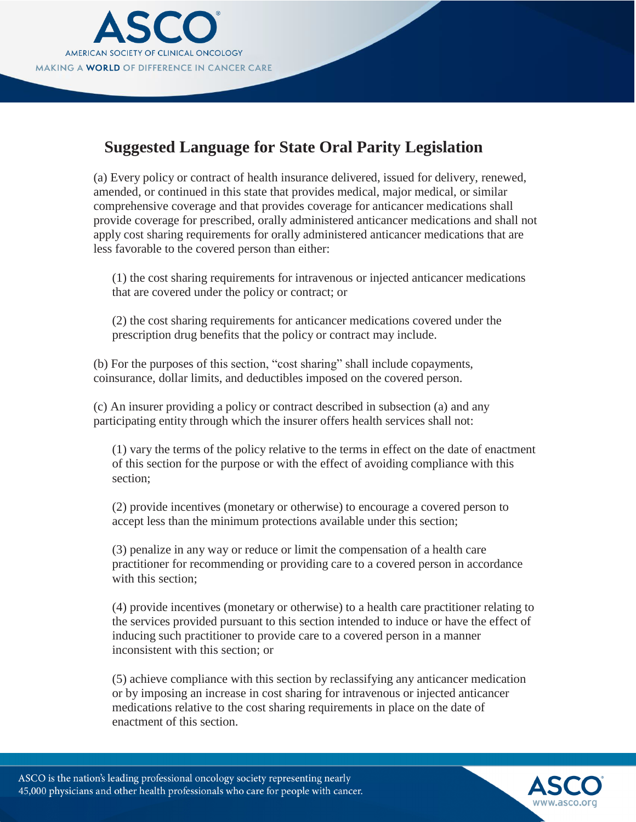

## **Suggested Language for State Oral Parity Legislation**

(a) Every policy or contract of health insurance delivered, issued for delivery, renewed, amended, or continued in this state that provides medical, major medical, or similar comprehensive coverage and that provides coverage for anticancer medications shall provide coverage for prescribed, orally administered anticancer medications and shall not apply cost sharing requirements for orally administered anticancer medications that are less favorable to the covered person than either:

(1) the cost sharing requirements for intravenous or injected anticancer medications that are covered under the policy or contract; or

(2) the cost sharing requirements for anticancer medications covered under the prescription drug benefits that the policy or contract may include.

(b) For the purposes of this section, "cost sharing" shall include copayments, coinsurance, dollar limits, and deductibles imposed on the covered person.

(c) An insurer providing a policy or contract described in subsection (a) and any participating entity through which the insurer offers health services shall not:

(1) vary the terms of the policy relative to the terms in effect on the date of enactment of this section for the purpose or with the effect of avoiding compliance with this section;

(2) provide incentives (monetary or otherwise) to encourage a covered person to accept less than the minimum protections available under this section;

(3) penalize in any way or reduce or limit the compensation of a health care practitioner for recommending or providing care to a covered person in accordance with this section:

(4) provide incentives (monetary or otherwise) to a health care practitioner relating to the services provided pursuant to this section intended to induce or have the effect of inducing such practitioner to provide care to a covered person in a manner inconsistent with this section; or

(5) achieve compliance with this section by reclassifying any anticancer medication or by imposing an increase in cost sharing for intravenous or injected anticancer medications relative to the cost sharing requirements in place on the date of enactment of this section.

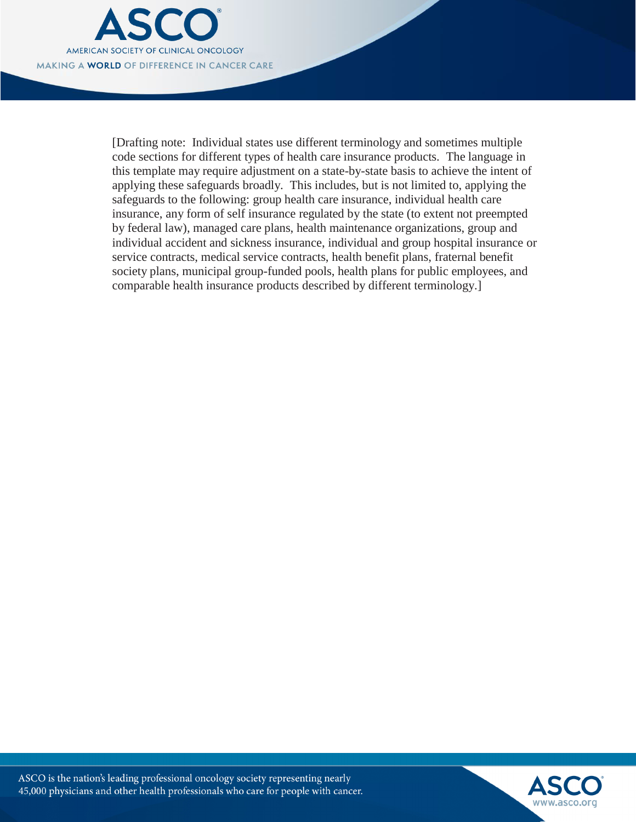

[Drafting note: Individual states use different terminology and sometimes multiple code sections for different types of health care insurance products. The language in this template may require adjustment on a state-by-state basis to achieve the intent of applying these safeguards broadly. This includes, but is not limited to, applying the safeguards to the following: group health care insurance, individual health care insurance, any form of self insurance regulated by the state (to extent not preempted by federal law), managed care plans, health maintenance organizations, group and individual accident and sickness insurance, individual and group hospital insurance or service contracts, medical service contracts, health benefit plans, fraternal benefit society plans, municipal group-funded pools, health plans for public employees, and comparable health insurance products described by different terminology.]

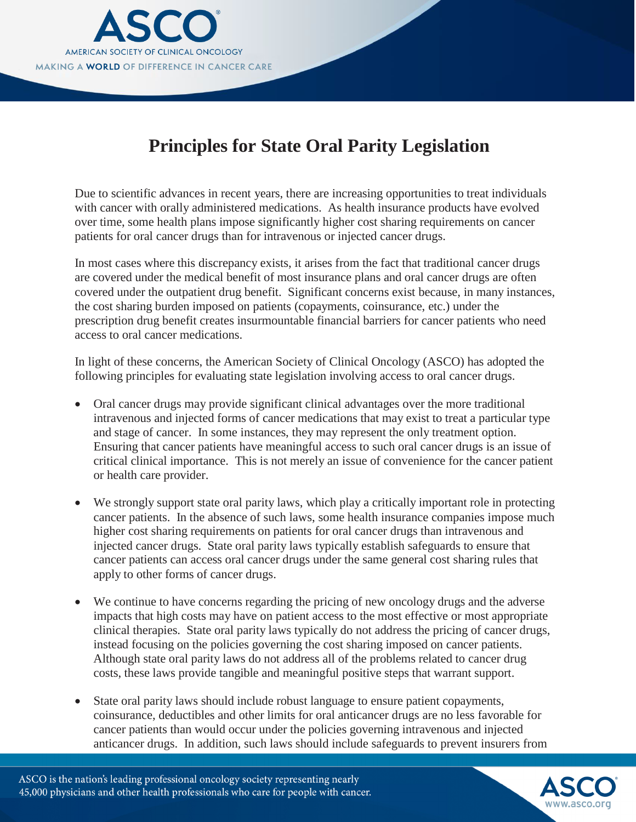

# **Principles for State Oral Parity Legislation**

Due to scientific advances in recent years, there are increasing opportunities to treat individuals with cancer with orally administered medications. As health insurance products have evolved over time, some health plans impose significantly higher cost sharing requirements on cancer patients for oral cancer drugs than for intravenous or injected cancer drugs.

In most cases where this discrepancy exists, it arises from the fact that traditional cancer drugs are covered under the medical benefit of most insurance plans and oral cancer drugs are often covered under the outpatient drug benefit. Significant concerns exist because, in many instances, the cost sharing burden imposed on patients (copayments, coinsurance, etc.) under the prescription drug benefit creates insurmountable financial barriers for cancer patients who need access to oral cancer medications.

In light of these concerns, the American Society of Clinical Oncology (ASCO) has adopted the following principles for evaluating state legislation involving access to oral cancer drugs.

- Oral cancer drugs may provide significant clinical advantages over the more traditional intravenous and injected forms of cancer medications that may exist to treat a particular type and stage of cancer. In some instances, they may represent the only treatment option. Ensuring that cancer patients have meaningful access to such oral cancer drugs is an issue of critical clinical importance. This is not merely an issue of convenience for the cancer patient or health care provider.
- We strongly support state oral parity laws, which play a critically important role in protecting cancer patients. In the absence of such laws, some health insurance companies impose much higher cost sharing requirements on patients for oral cancer drugs than intravenous and injected cancer drugs. State oral parity laws typically establish safeguards to ensure that cancer patients can access oral cancer drugs under the same general cost sharing rules that apply to other forms of cancer drugs.
- We continue to have concerns regarding the pricing of new oncology drugs and the adverse impacts that high costs may have on patient access to the most effective or most appropriate clinical therapies. State oral parity laws typically do not address the pricing of cancer drugs, instead focusing on the policies governing the cost sharing imposed on cancer patients. Although state oral parity laws do not address all of the problems related to cancer drug costs, these laws provide tangible and meaningful positive steps that warrant support.
- State oral parity laws should include robust language to ensure patient copayments, coinsurance, deductibles and other limits for oral anticancer drugs are no less favorable for cancer patients than would occur under the policies governing intravenous and injected anticancer drugs. In addition, such laws should include safeguards to prevent insurers from